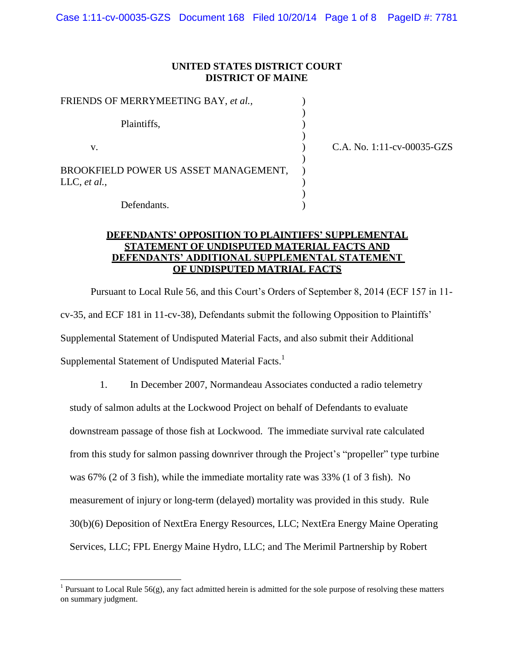## **UNITED STATES DISTRICT COURT DISTRICT OF MAINE**

| FRIENDS OF MERRYMEETING BAY, et al.,                    |          |
|---------------------------------------------------------|----------|
| Plaintiffs,                                             |          |
| v.                                                      | C.A. No. |
| BROOKFIELD POWER US ASSET MANAGEMENT,<br>LLC, $et al.,$ |          |
|                                                         |          |
|                                                         |          |

1:11-cv-00035-GZS

Defendants.

 $\overline{\phantom{a}}$ 

# **DEFENDANTS' OPPOSITION TO PLAINTIFFS' SUPPLEMENTAL STATEMENT OF UNDISPUTED MATERIAL FACTS AND DEFENDANTS' ADDITIONAL SUPPLEMENTAL STATEMENT OF UNDISPUTED MATRIAL FACTS**

Pursuant to Local Rule 56, and this Court's Orders of September 8, 2014 (ECF 157 in 11 cv-35, and ECF 181 in 11-cv-38), Defendants submit the following Opposition to Plaintiffs' Supplemental Statement of Undisputed Material Facts, and also submit their Additional Supplemental Statement of Undisputed Material Facts.<sup>1</sup>

1. In December 2007, Normandeau Associates conducted a radio telemetry study of salmon adults at the Lockwood Project on behalf of Defendants to evaluate downstream passage of those fish at Lockwood. The immediate survival rate calculated from this study for salmon passing downriver through the Project's "propeller" type turbine was 67% (2 of 3 fish), while the immediate mortality rate was 33% (1 of 3 fish). No measurement of injury or long-term (delayed) mortality was provided in this study. Rule 30(b)(6) Deposition of NextEra Energy Resources, LLC; NextEra Energy Maine Operating Services, LLC; FPL Energy Maine Hydro, LLC; and The Merimil Partnership by Robert

<sup>&</sup>lt;sup>1</sup> Pursuant to Local Rule 56(g), any fact admitted herein is admitted for the sole purpose of resolving these matters on summary judgment.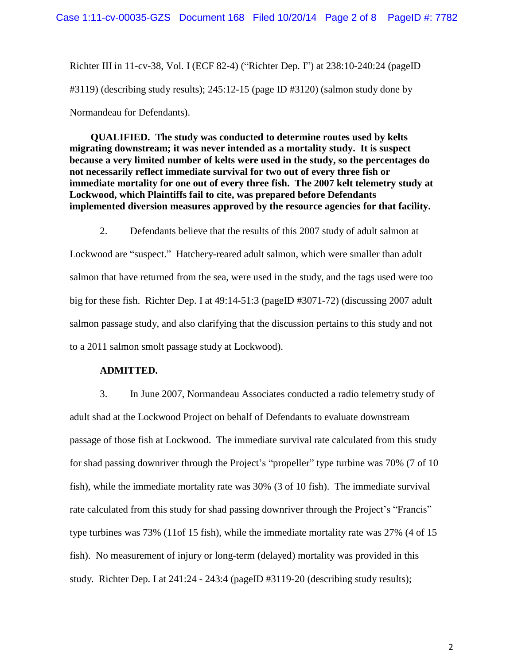Richter III in 11-cv-38, Vol. I (ECF 82-4) ("Richter Dep. I") at 238:10-240:24 (pageID #3119) (describing study results); 245:12-15 (page ID #3120) (salmon study done by Normandeau for Defendants).

**QUALIFIED. The study was conducted to determine routes used by kelts migrating downstream; it was never intended as a mortality study. It is suspect because a very limited number of kelts were used in the study, so the percentages do not necessarily reflect immediate survival for two out of every three fish or immediate mortality for one out of every three fish. The 2007 kelt telemetry study at Lockwood, which Plaintiffs fail to cite, was prepared before Defendants implemented diversion measures approved by the resource agencies for that facility.** 

2. Defendants believe that the results of this 2007 study of adult salmon at Lockwood are "suspect." Hatchery-reared adult salmon, which were smaller than adult salmon that have returned from the sea, were used in the study, and the tags used were too big for these fish. Richter Dep. I at 49:14-51:3 (pageID #3071-72) (discussing 2007 adult salmon passage study, and also clarifying that the discussion pertains to this study and not to a 2011 salmon smolt passage study at Lockwood).

## **ADMITTED.**

3. In June 2007, Normandeau Associates conducted a radio telemetry study of adult shad at the Lockwood Project on behalf of Defendants to evaluate downstream passage of those fish at Lockwood. The immediate survival rate calculated from this study for shad passing downriver through the Project's "propeller" type turbine was 70% (7 of 10 fish), while the immediate mortality rate was 30% (3 of 10 fish). The immediate survival rate calculated from this study for shad passing downriver through the Project's "Francis" type turbines was 73% (11of 15 fish), while the immediate mortality rate was 27% (4 of 15 fish). No measurement of injury or long-term (delayed) mortality was provided in this study. Richter Dep. I at 241:24 - 243:4 (pageID #3119-20 (describing study results);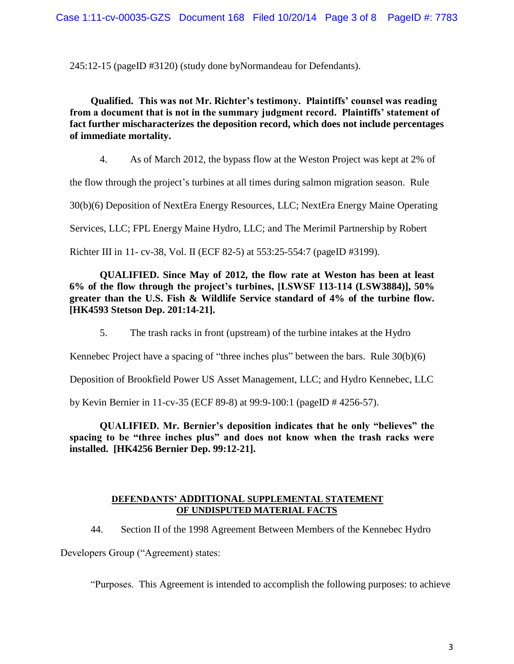245:12-15 (pageID #3120) (study done byNormandeau for Defendants).

**Qualified. This was not Mr. Richter's testimony. Plaintiffs' counsel was reading from a document that is not in the summary judgment record. Plaintiffs' statement of fact further mischaracterizes the deposition record, which does not include percentages of immediate mortality.** 

4. As of March 2012, the bypass flow at the Weston Project was kept at 2% of

the flow through the project's turbines at all times during salmon migration season. Rule

30(b)(6) Deposition of NextEra Energy Resources, LLC; NextEra Energy Maine Operating

Services, LLC; FPL Energy Maine Hydro, LLC; and The Merimil Partnership by Robert

Richter III in 11- cv-38, Vol. II (ECF 82-5) at 553:25-554:7 (pageID #3199).

# **QUALIFIED. Since May of 2012, the flow rate at Weston has been at least 6% of the flow through the project's turbines, [LSWSF 113-114 (LSW3884)], 50% greater than the U.S. Fish & Wildlife Service standard of 4% of the turbine flow. [HK4593 Stetson Dep. 201:14-21].**

5. The trash racks in front (upstream) of the turbine intakes at the Hydro

Kennebec Project have a spacing of "three inches plus" between the bars. Rule 30(b)(6)

Deposition of Brookfield Power US Asset Management, LLC; and Hydro Kennebec, LLC

by Kevin Bernier in 11-cv-35 (ECF 89-8) at 99:9-100:1 (pageID # 4256-57).

**QUALIFIED. Mr. Bernier's deposition indicates that he only "believes" the spacing to be "three inches plus" and does not know when the trash racks were installed. [HK4256 Bernier Dep. 99:12-21].** 

## **DEFENDANTS' ADDITIONAL SUPPLEMENTAL STATEMENT OF UNDISPUTED MATERIAL FACTS**

44. Section II of the 1998 Agreement Between Members of the Kennebec Hydro

Developers Group ("Agreement) states:

"Purposes. This Agreement is intended to accomplish the following purposes: to achieve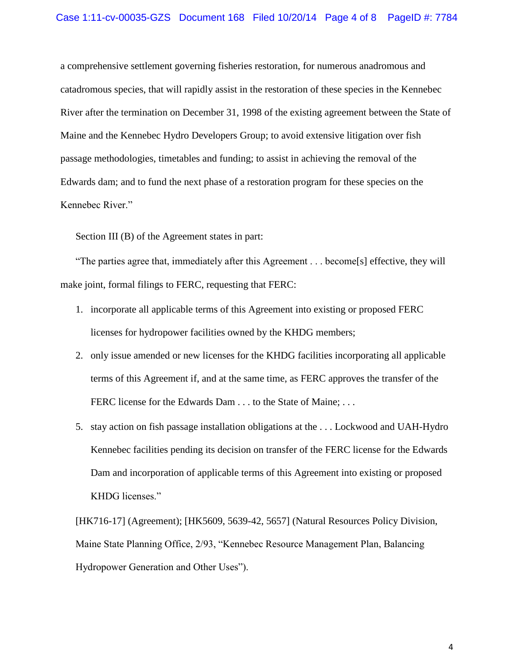#### Case 1:11-cv-00035-GZS Document 168 Filed 10/20/14 Page 4 of 8 PageID #: 7784

a comprehensive settlement governing fisheries restoration, for numerous anadromous and catadromous species, that will rapidly assist in the restoration of these species in the Kennebec River after the termination on December 31, 1998 of the existing agreement between the State of Maine and the Kennebec Hydro Developers Group; to avoid extensive litigation over fish passage methodologies, timetables and funding; to assist in achieving the removal of the Edwards dam; and to fund the next phase of a restoration program for these species on the Kennebec River."

Section III (B) of the Agreement states in part:

"The parties agree that, immediately after this Agreement . . . become[s] effective, they will make joint, formal filings to FERC, requesting that FERC:

- 1. incorporate all applicable terms of this Agreement into existing or proposed FERC licenses for hydropower facilities owned by the KHDG members;
- 2. only issue amended or new licenses for the KHDG facilities incorporating all applicable terms of this Agreement if, and at the same time, as FERC approves the transfer of the FERC license for the Edwards Dam . . . to the State of Maine; . . .
- 5. stay action on fish passage installation obligations at the . . . Lockwood and UAH-Hydro Kennebec facilities pending its decision on transfer of the FERC license for the Edwards Dam and incorporation of applicable terms of this Agreement into existing or proposed KHDG licenses."

[HK716-17] (Agreement); [HK5609, 5639-42, 5657] (Natural Resources Policy Division, Maine State Planning Office, 2/93, "Kennebec Resource Management Plan, Balancing Hydropower Generation and Other Uses").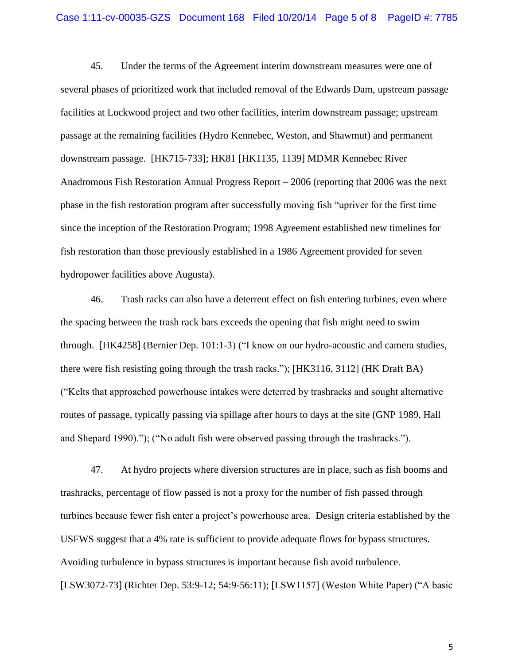#### Case 1:11-cv-00035-GZS Document 168 Filed 10/20/14 Page 5 of 8 PageID #: 7785

45. Under the terms of the Agreement interim downstream measures were one of several phases of prioritized work that included removal of the Edwards Dam, upstream passage facilities at Lockwood project and two other facilities, interim downstream passage; upstream passage at the remaining facilities (Hydro Kennebec, Weston, and Shawmut) and permanent downstream passage. [HK715-733]; HK81 [HK1135, 1139] MDMR Kennebec River Anadromous Fish Restoration Annual Progress Report – 2006 (reporting that 2006 was the next phase in the fish restoration program after successfully moving fish "upriver for the first time since the inception of the Restoration Program; 1998 Agreement established new timelines for fish restoration than those previously established in a 1986 Agreement provided for seven hydropower facilities above Augusta).

46. Trash racks can also have a deterrent effect on fish entering turbines, even where the spacing between the trash rack bars exceeds the opening that fish might need to swim through. [HK4258] (Bernier Dep. 101:1-3) ("I know on our hydro-acoustic and camera studies, there were fish resisting going through the trash racks."); [HK3116, 3112] (HK Draft BA) ("Kelts that approached powerhouse intakes were deterred by trashracks and sought alternative routes of passage, typically passing via spillage after hours to days at the site (GNP 1989, Hall and Shepard 1990)."); ("No adult fish were observed passing through the trashracks.").

47. At hydro projects where diversion structures are in place, such as fish booms and trashracks, percentage of flow passed is not a proxy for the number of fish passed through turbines because fewer fish enter a project's powerhouse area. Design criteria established by the USFWS suggest that a 4% rate is sufficient to provide adequate flows for bypass structures. Avoiding turbulence in bypass structures is important because fish avoid turbulence. [LSW3072-73] (Richter Dep. 53:9-12; 54:9-56:11); [LSW1157] (Weston White Paper) ("A basic

5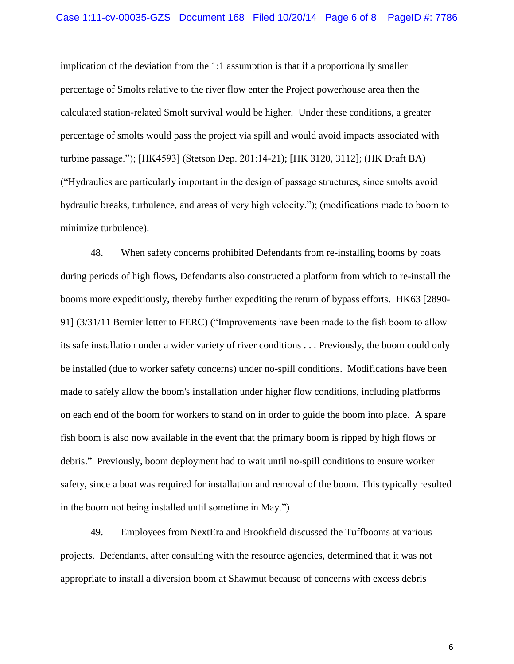implication of the deviation from the 1:1 assumption is that if a proportionally smaller percentage of Smolts relative to the river flow enter the Project powerhouse area then the calculated station-related Smolt survival would be higher. Under these conditions, a greater percentage of smolts would pass the project via spill and would avoid impacts associated with turbine passage."); [HK4593] (Stetson Dep. 201:14-21); [HK 3120, 3112]; (HK Draft BA) ("Hydraulics are particularly important in the design of passage structures, since smolts avoid hydraulic breaks, turbulence, and areas of very high velocity."); (modifications made to boom to minimize turbulence).

48. When safety concerns prohibited Defendants from re-installing booms by boats during periods of high flows, Defendants also constructed a platform from which to re-install the booms more expeditiously, thereby further expediting the return of bypass efforts. HK63 [2890- 91] (3/31/11 Bernier letter to FERC) ("Improvements have been made to the fish boom to allow its safe installation under a wider variety of river conditions . . . Previously, the boom could only be installed (due to worker safety concerns) under no-spill conditions. Modifications have been made to safely allow the boom's installation under higher flow conditions, including platforms on each end of the boom for workers to stand on in order to guide the boom into place. A spare fish boom is also now available in the event that the primary boom is ripped by high flows or debris." Previously, boom deployment had to wait until no-spill conditions to ensure worker safety, since a boat was required for installation and removal of the boom. This typically resulted in the boom not being installed until sometime in May.")

49. Employees from NextEra and Brookfield discussed the Tuffbooms at various projects. Defendants, after consulting with the resource agencies, determined that it was not appropriate to install a diversion boom at Shawmut because of concerns with excess debris

6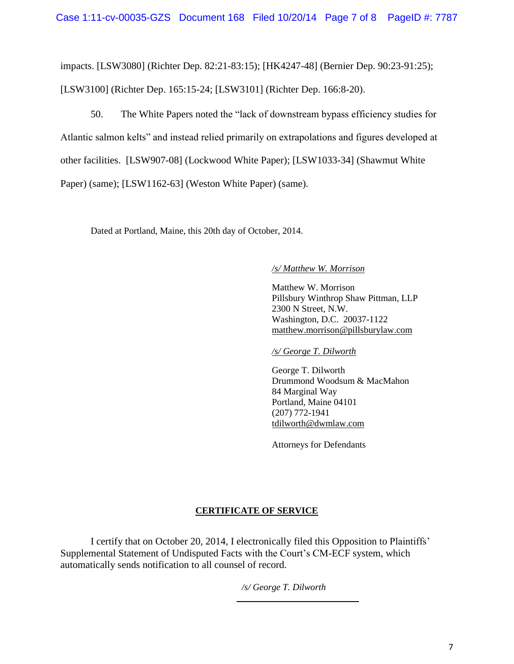impacts. [LSW3080] (Richter Dep. 82:21-83:15); [HK4247-48] (Bernier Dep. 90:23-91:25); [LSW3100] (Richter Dep. 165:15-24; [LSW3101] (Richter Dep. 166:8-20).

50. The White Papers noted the "lack of downstream bypass efficiency studies for Atlantic salmon kelts" and instead relied primarily on extrapolations and figures developed at other facilities. [LSW907-08] (Lockwood White Paper); [LSW1033-34] (Shawmut White Paper) (same); [LSW1162-63] (Weston White Paper) (same).

Dated at Portland, Maine, this 20th day of October, 2014.

## */s/ Matthew W. Morrison*

Matthew W. Morrison Pillsbury Winthrop Shaw Pittman, LLP 2300 N Street, N.W. Washington, D.C. 20037-1122 [matthew.morrison@pillsburylaw.com](mailto:matthew.morrison@pillsburylaw.com)

*/s/ George T. Dilworth*

George T. Dilworth Drummond Woodsum & MacMahon 84 Marginal Way Portland, Maine 04101 (207) 772-1941 [tdilworth@dwmlaw.com](mailto:tdilworth@dwmlaw.com)

Attorneys for Defendants

# **CERTIFICATE OF SERVICE**

I certify that on October 20, 2014, I electronically filed this Opposition to Plaintiffs' Supplemental Statement of Undisputed Facts with the Court's CM-ECF system, which automatically sends notification to all counsel of record.

*/s/ George T. Dilworth*